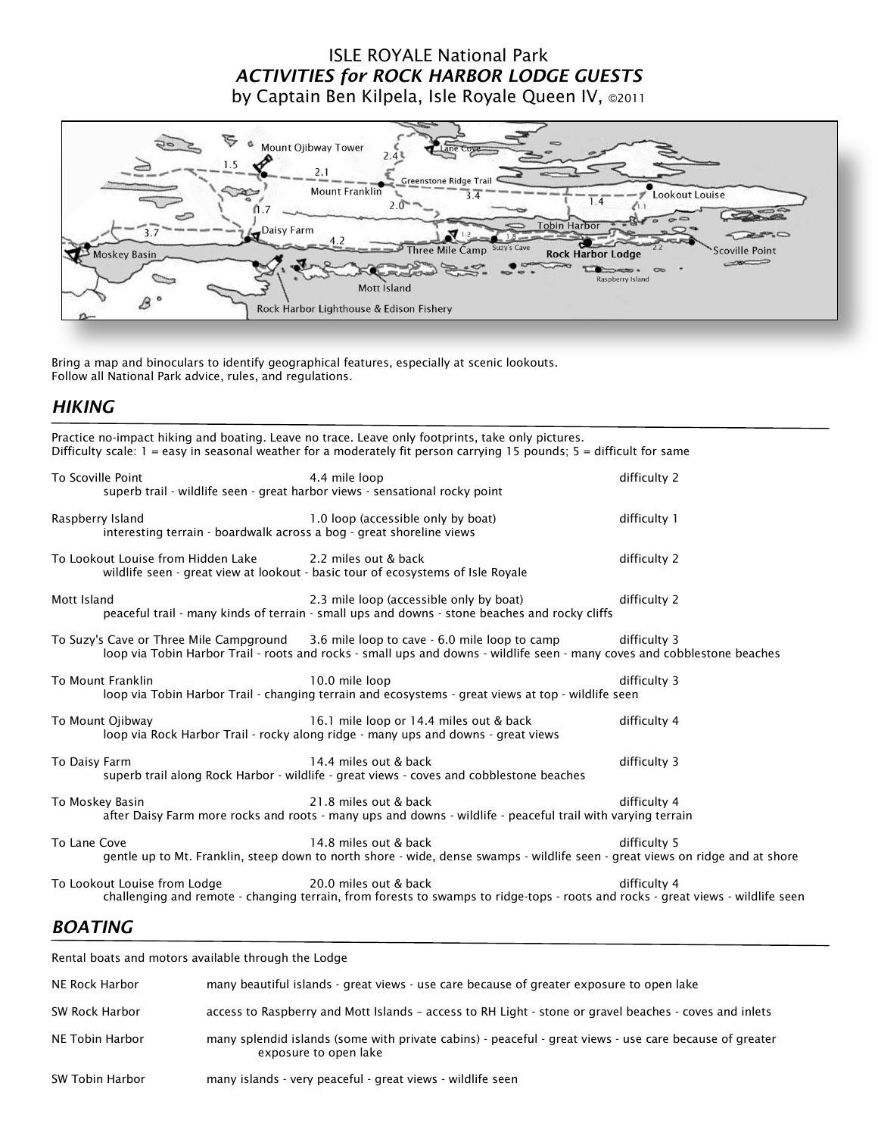## ISLE ROYALE National Park *ACTIVITIES for ROCK HARBOR LODGE GUESTS* by Captain Ben Kilpela, Isle Royale Queen IV, ©<sup>2011</sup>



Bring a map and binoculars to identify geographical features, especially at scenic lookouts. Follow all National Park advice, rules, and regulations.

#### *HIKING*

|                                                                                          | Practice no-impact hiking and boating. Leave no trace. Leave only footprints, take only pictures.<br>Difficulty scale: $1 = e$ asy in seasonal weather for a moderately fit person carrying 15 pounds; $5 =$ difficult for same |              |
|------------------------------------------------------------------------------------------|---------------------------------------------------------------------------------------------------------------------------------------------------------------------------------------------------------------------------------|--------------|
| To Scoville Point                                                                        | 4.4 mile loop<br>superb trail - wildlife seen - great harbor views - sensational rocky point                                                                                                                                    | difficulty 2 |
| Raspberry Island<br>interesting terrain - boardwalk across a bog - great shoreline views | 1.0 loop (accessible only by boat)                                                                                                                                                                                              | difficulty 1 |
| To Lookout Louise from Hidden Lake                                                       | 2.2 miles out & back<br>wildlife seen - great view at lookout - basic tour of ecosystems of Isle Royale                                                                                                                         | difficulty 2 |
| Mott Island                                                                              | 2.3 mile loop (accessible only by boat)<br>peaceful trail - many kinds of terrain - small ups and downs - stone beaches and rocky cliffs                                                                                        | difficulty 2 |
|                                                                                          | To Suzy's Cave or Three Mile Campground 3.6 mile loop to cave - 6.0 mile loop to camp<br>loop via Tobin Harbor Trail - roots and rocks - small ups and downs - wildlife seen - many coves and cobblestone beaches               | difficulty 3 |
| To Mount Franklin                                                                        | 10.0 mile loop<br>loop via Tobin Harbor Trail - changing terrain and ecosystems - great views at top - wildlife seen                                                                                                            | difficulty 3 |
| To Mount Ojibway                                                                         | 16.1 mile loop or 14.4 miles out & back<br>loop via Rock Harbor Trail - rocky along ridge - many ups and downs - great views                                                                                                    | difficulty 4 |
| To Daisy Farm                                                                            | 14.4 miles out & back<br>superb trail along Rock Harbor - wildlife - great views - coves and cobblestone beaches                                                                                                                | difficulty 3 |
| To Moskey Basin                                                                          | 21.8 miles out & back<br>after Daisy Farm more rocks and roots - many ups and downs - wildlife - peaceful trail with varying terrain                                                                                            | difficulty 4 |
| To Lane Cove                                                                             | 14.8 miles out & back<br>gentle up to Mt. Franklin, steep down to north shore - wide, dense swamps - wildlife seen - great views on ridge and at shore                                                                          | difficulty 5 |
| To Lookout Louise from Lodge                                                             | 20.0 miles out & back<br>challenging and remote - changing terrain, from forests to swamps to ridge-tops - roots and rocks - great views - wildlife seen                                                                        | difficulty 4 |

## *BOATING*

| Rental boats and motors available through the Lodge |                                                                                                                                  |
|-----------------------------------------------------|----------------------------------------------------------------------------------------------------------------------------------|
| NE Rock Harbor                                      | many beautiful islands - great views - use care because of greater exposure to open lake                                         |
| SW Rock Harbor                                      | access to Raspberry and Mott Islands - access to RH Light - stone or gravel beaches - coves and inlets                           |
| NE Tobin Harbor                                     | many splendid islands (some with private cabins) - peaceful - great views - use care because of greater<br>exposure to open lake |
| SW Tobin Harbor                                     | many islands - very peaceful - great views - wildlife seen                                                                       |